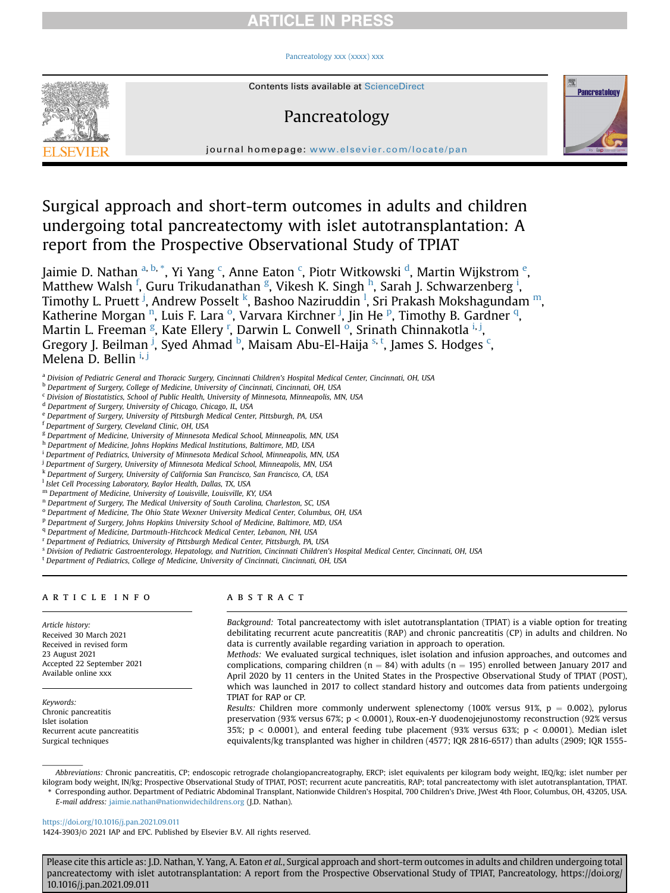# **RTICLE IN PRESS**

## [Pancreatology xxx \(xxxx\) xxx](https://doi.org/10.1016/j.pan.2021.09.011)



# Pancreatology



journal homepage: [www.elsevier.com/locate/pan](http://www.elsevier.com/locate/pan)

Surgical approach and short-term outcomes in adults and children undergoing total pancreatectomy with islet autotransplantation: A report from the Prospective Observational Study of TPIAT

Jaimie D. Nathan <sup>[a,](#page-0-0) [b,](#page-0-1)</sup> [\\*](#page-0-2), Yi Yang <sup>[c](#page-0-3)</sup>, Anne Eaton <sup>c</sup>, Piotr Witkowski <sup>[d](#page-0-4)</sup>, Martin Wijkstrom <sup>[e](#page-0-5)</sup>, Matthew Walsh <sup>[f](#page-0-6)</sup>, Guru Trikudanathan <sup>[g](#page-0-7)</sup>, Vikes[h](#page-0-8) K. S[i](#page-0-9)ngh <sup>h</sup>, Sarah J. Schwarzenberg <sup>i</sup>, Timothy L. Pruett <sup>[j](#page-0-10)</sup>, Andrew Posselt <sup>[k](#page-0-11)</sup>, Bashoo Naziruddin <sup>[l](#page-0-12)</sup>, Sri Prakash Mokshagunda[m](#page-0-13) <sup>m</sup>, Katheri[n](#page-0-14)e M[o](#page-0-15)rgan <sup>n</sup>, Luis F. Lara <sup>o</sup>, Varvara Kirchner <sup>[j](#page-0-10)</su[p](#page-0-16)>, Jin He <sup>p</sup>, Timothy B. Gardner <sup>[q](#page-0-17)</sup>, Martin L. Freeman <sup>[g](#page-0-7)</sup>, Kate Elle[r](#page-0-18)y <sup>r</sup>, Darwin L. C[o](#page-0-15)nwell <sup>o</sup>, Sr[i](#page-0-9)nath Chinnakotla <sup>i, [j](#page-0-10)</sup>, Gregory J. Beilman <sup>[j](#page-0-10)</sup>, Syed Ahmad <sup>[b](#page-0-1)</[s](#page-0-19)up>, Maisam Abu-El-Haija <sup>s, [t](#page-0-20)</sup>, James S. Hodges <sup>[c](#page-0-3)</sup>, Melena D. Bell[i](#page-0-9)n <sup>i, [j](#page-0-10)</sup>

- <span id="page-0-0"></span>a Division of Pediatric General and Thoracic Surgery, Cincinnati Children's Hospital Medical Center, Cincinnati, OH, USA
- <span id="page-0-1"></span>b Department of Surgery, College of Medicine, University of Cincinnati, Cincinnati, OH, USA
- <span id="page-0-3"></span> $c$  Division of Biostatistics, School of Public Health, University of Minnesota, Minneapolis, MN, USA
- <span id="page-0-4"></span><sup>d</sup> Department of Surgery, University of Chicago, Chicago, IL, USA
- <span id="page-0-5"></span><sup>e</sup> Department of Surgery, University of Pittsburgh Medical Center, Pittsburgh, PA, USA
- <span id="page-0-6"></span><sup>f</sup> Department of Surgery, Cleveland Clinic, OH, USA
- <span id="page-0-7"></span><sup>g</sup> Department of Medicine, University of Minnesota Medical School, Minneapolis, MN, USA
- <span id="page-0-8"></span>h Department of Medicine, Johns Hopkins Medical Institutions, Baltimore, MD, USA
- <span id="page-0-9"></span><sup>i</sup> Department of Pediatrics, University of Minnesota Medical School, Minneapolis, MN, USA
- <span id="page-0-10"></span><sup>j</sup> Department of Surgery, University of Minnesota Medical School, Minneapolis, MN, USA
- <span id="page-0-11"></span><sup>k</sup> Department of Surgery, University of California San Francisco, San Francisco, CA, USA
- <span id="page-0-12"></span><sup>1</sup> Islet Cell Processing Laboratory, Baylor Health, Dallas, TX, USA
- <span id="page-0-13"></span><sup>m</sup> Department of Medicine, University of Louisville, Louisville, KY, USA
- <span id="page-0-14"></span><sup>n</sup> Department of Surgery, The Medical University of South Carolina, Charleston, SC, USA
- <span id="page-0-15"></span><sup>o</sup> Department of Medicine, The Ohio State Wexner University Medical Center, Columbus, OH, USA
- <span id="page-0-16"></span><sup>p</sup> Department of Surgery, Johns Hopkins University School of Medicine, Baltimore, MD, USA
- <span id="page-0-17"></span><sup>q</sup> Department of Medicine, Dartmouth-Hitchcock Medical Center, Lebanon, NH, USA
- <span id="page-0-18"></span><sup>r</sup> Department of Pediatrics, University of Pittsburgh Medical Center, Pittsburgh, PA, USA
- <span id="page-0-19"></span><sup>s</sup> Division of Pediatric Gastroenterology, Hepatology, and Nutrition, Cincinnati Children's Hospital Medical Center, Cincinnati, OH, USA
- <span id="page-0-20"></span><sup>t</sup> Department of Pediatrics, College of Medicine, University of Cincinnati, Cincinnati, OH, USA

#### article info

Article history: Received 30 March 2021 Received in revised form 23 August 2021 Accepted 22 September 2021 Available online xxx

Keywords: Chronic pancreatitis Islet isolation Recurrent acute pancreatitis Surgical techniques

# **ABSTRACT**

Background: Total pancreatectomy with islet autotransplantation (TPIAT) is a viable option for treating debilitating recurrent acute pancreatitis (RAP) and chronic pancreatitis (CP) in adults and children. No data is currently available regarding variation in approach to operation.

Methods: We evaluated surgical techniques, islet isolation and infusion approaches, and outcomes and complications, comparing children ( $n = 84$ ) with adults ( $n = 195$ ) enrolled between January 2017 and April 2020 by 11 centers in the United States in the Prospective Observational Study of TPIAT (POST), which was launched in 2017 to collect standard history and outcomes data from patients undergoing TPIAT for RAP or CP.

Results: Children more commonly underwent splenectomy (100% versus 91%,  $p = 0.002$ ), pylorus preservation (93% versus 67%; p < 0.0001), Roux-en-Y duodenojejunostomy reconstruction (92% versus 35%;  $p < 0.0001$ ), and enteral feeding tube placement (93% versus 63%;  $p < 0.0001$ ). Median islet equivalents/kg transplanted was higher in children (4577; IQR 2816-6517) than adults (2909; IQR 1555-

Abbreviations: Chronic pancreatitis, CP; endoscopic retrograde cholangiopancreatography, ERCP; islet equivalents per kilogram body weight, IEQ/kg; islet number per kilogram body weight, IN/kg; Prospective Observational Study of TPIAT, POST; recurrent acute pancreatitis, RAP; total pancreatectomy with islet autotransplantation, TPIAT. \* Corresponding author. Department of Pediatric Abdominal Transplant, Nationwide Children's Hospital, 700 Children's Drive, JWest 4th Floor, Columbus, OH, 43205, USA.

<span id="page-0-2"></span>E-mail address: [jaimie.nathan@nationwidechildrens.org](mailto:jaimie.nathan@nationwidechildrens.org) (J.D. Nathan).

<https://doi.org/10.1016/j.pan.2021.09.011>

1424-3903/© 2021 IAP and EPC. Published by Elsevier B.V. All rights reserved.

Please cite this article as: J.D. Nathan, Y. Yang, A. Eaton et al., Surgical approach and short-term outcomes in adults and children undergoing total pancreatectomy with islet autotransplantation: A report from the Prospective Observational Study of TPIAT, Pancreatology, https://doi.org/ 10.1016/j.pan.2021.09.011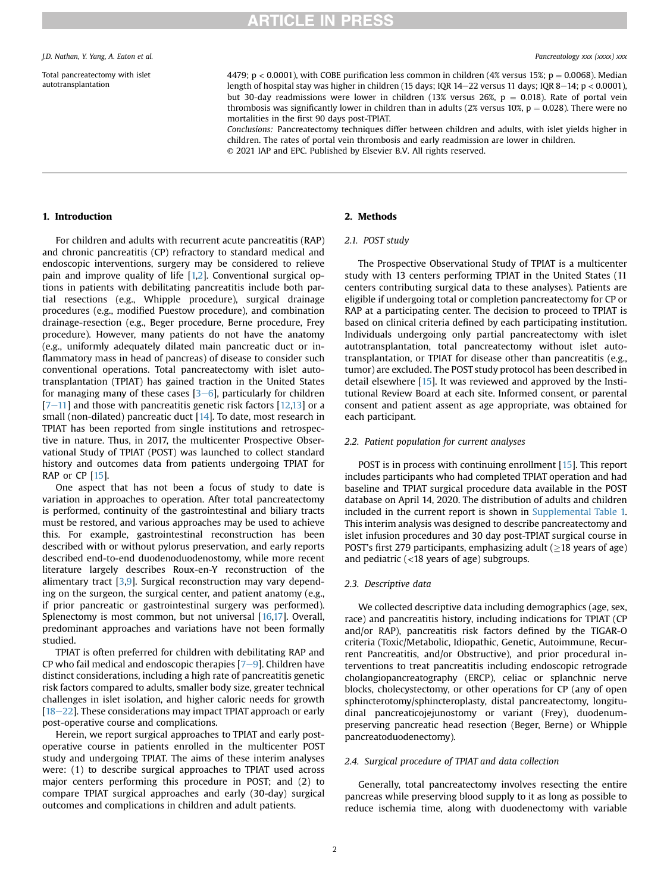Total pancreatectomy with islet autotransplantation

4479; p < 0.0001), with COBE purification less common in children (4% versus 15%; p = 0.0068). Median length of hospital stay was higher in children (15 days; IQR  $14-22$  versus 11 days; IQR  $8-14$ ; p < 0.0001), but 30-day readmissions were lower in children (13% versus 26%,  $p = 0.018$ ). Rate of portal vein thrombosis was significantly lower in children than in adults (2% versus 10%,  $p = 0.028$ ). There were no mortalities in the first 90 days post-TPIAT.

Conclusions: Pancreatectomy techniques differ between children and adults, with islet yields higher in children. The rates of portal vein thrombosis and early readmission are lower in children. © 2021 IAP and EPC. Published by Elsevier B.V. All rights reserved.

### 1. Introduction

For children and adults with recurrent acute pancreatitis (RAP) and chronic pancreatitis (CP) refractory to standard medical and endoscopic interventions, surgery may be considered to relieve pain and improve quality of life [[1,](#page-7-0)[2\]](#page-7-1). Conventional surgical options in patients with debilitating pancreatitis include both partial resections (e.g., Whipple procedure), surgical drainage procedures (e.g., modified Puestow procedure), and combination drainage-resection (e.g., Beger procedure, Berne procedure, Frey procedure). However, many patients do not have the anatomy (e.g., uniformly adequately dilated main pancreatic duct or inflammatory mass in head of pancreas) of disease to consider such conventional operations. Total pancreatectomy with islet autotransplantation (TPIAT) has gained traction in the United States for managing many of these cases  $[3-6]$  $[3-6]$  $[3-6]$ , particularly for children  $[7-11]$  $[7-11]$  $[7-11]$  $[7-11]$  and those with pancreatitis genetic risk factors  $[12,13]$  $[12,13]$  $[12,13]$  or a small (non-dilated) pancreatic duct [[14\]](#page-7-6). To date, most research in TPIAT has been reported from single institutions and retrospective in nature. Thus, in 2017, the multicenter Prospective Observational Study of TPIAT (POST) was launched to collect standard history and outcomes data from patients undergoing TPIAT for RAP or CP [\[15](#page-7-7)].

One aspect that has not been a focus of study to date is variation in approaches to operation. After total pancreatectomy is performed, continuity of the gastrointestinal and biliary tracts must be restored, and various approaches may be used to achieve this. For example, gastrointestinal reconstruction has been described with or without pylorus preservation, and early reports described end-to-end duodenoduodenostomy, while more recent literature largely describes Roux-en-Y reconstruction of the alimentary tract [[3,](#page-7-2)[9](#page-7-8)]. Surgical reconstruction may vary depending on the surgeon, the surgical center, and patient anatomy (e.g., if prior pancreatic or gastrointestinal surgery was performed). Splenectomy is most common, but not universal [[16,](#page-7-9)[17\]](#page-7-10). Overall, predominant approaches and variations have not been formally studied.

TPIAT is often preferred for children with debilitating RAP and CP who fail medical and endoscopic therapies  $[7-9]$  $[7-9]$  $[7-9]$ . Children have distinct considerations, including a high rate of pancreatitis genetic risk factors compared to adults, smaller body size, greater technical challenges in islet isolation, and higher caloric needs for growth  $[18-22]$  $[18-22]$  $[18-22]$  $[18-22]$  $[18-22]$ . These considerations may impact TPIAT approach or early post-operative course and complications.

Herein, we report surgical approaches to TPIAT and early postoperative course in patients enrolled in the multicenter POST study and undergoing TPIAT. The aims of these interim analyses were: (1) to describe surgical approaches to TPIAT used across major centers performing this procedure in POST; and (2) to compare TPIAT surgical approaches and early (30-day) surgical outcomes and complications in children and adult patients.

## 2. Methods

## 2.1. POST study

The Prospective Observational Study of TPIAT is a multicenter study with 13 centers performing TPIAT in the United States (11 centers contributing surgical data to these analyses). Patients are eligible if undergoing total or completion pancreatectomy for CP or RAP at a participating center. The decision to proceed to TPIAT is based on clinical criteria defined by each participating institution. Individuals undergoing only partial pancreatectomy with islet autotransplantation, total pancreatectomy without islet autotransplantation, or TPIAT for disease other than pancreatitis (e.g., tumor) are excluded. The POST study protocol has been described in detail elsewhere [\[15\]](#page-7-7). It was reviewed and approved by the Institutional Review Board at each site. Informed consent, or parental consent and patient assent as age appropriate, was obtained for each participant.

#### 2.2. Patient population for current analyses

POST is in process with continuing enrollment [[15\]](#page-7-7). This report includes participants who had completed TPIAT operation and had baseline and TPIAT surgical procedure data available in the POST database on April 14, 2020. The distribution of adults and children included in the current report is shown in Supplemental Table 1. This interim analysis was designed to describe pancreatectomy and islet infusion procedures and 30 day post-TPIAT surgical course in POST's first 279 participants, emphasizing adult ( $\geq$ 18 years of age) and pediatric (<18 years of age) subgroups.

### 2.3. Descriptive data

We collected descriptive data including demographics (age, sex, race) and pancreatitis history, including indications for TPIAT (CP and/or RAP), pancreatitis risk factors defined by the TIGAR-O criteria (Toxic/Metabolic, Idiopathic, Genetic, Autoimmune, Recurrent Pancreatitis, and/or Obstructive), and prior procedural interventions to treat pancreatitis including endoscopic retrograde cholangiopancreatography (ERCP), celiac or splanchnic nerve blocks, cholecystectomy, or other operations for CP (any of open sphincterotomy/sphincteroplasty, distal pancreatectomy, longitudinal pancreaticojejunostomy or variant (Frey), duodenumpreserving pancreatic head resection (Beger, Berne) or Whipple pancreatoduodenectomy).

### 2.4. Surgical procedure of TPIAT and data collection

Generally, total pancreatectomy involves resecting the entire pancreas while preserving blood supply to it as long as possible to reduce ischemia time, along with duodenectomy with variable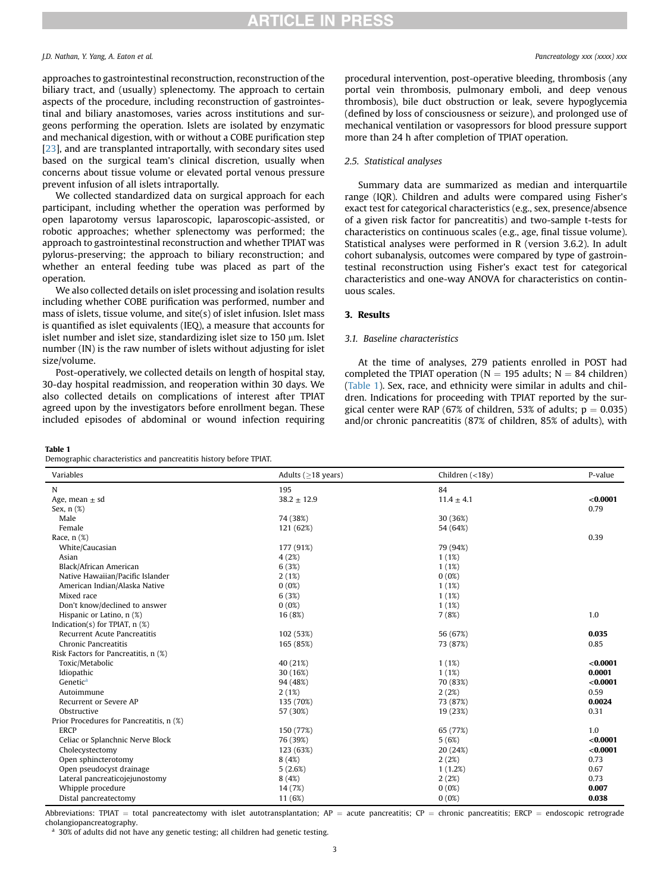# **RTICLE IN PRESS**

#### J.D. Nathan, Y. Yang, A. Eaton et al. Pancreatology xxx (xxxx) xxx

approaches to gastrointestinal reconstruction, reconstruction of the biliary tract, and (usually) splenectomy. The approach to certain aspects of the procedure, including reconstruction of gastrointestinal and biliary anastomoses, varies across institutions and surgeons performing the operation. Islets are isolated by enzymatic and mechanical digestion, with or without a COBE purification step [[23](#page-7-12)], and are transplanted intraportally, with secondary sites used based on the surgical team's clinical discretion, usually when concerns about tissue volume or elevated portal venous pressure prevent infusion of all islets intraportally.

We collected standardized data on surgical approach for each participant, including whether the operation was performed by open laparotomy versus laparoscopic, laparoscopic-assisted, or robotic approaches; whether splenectomy was performed; the approach to gastrointestinal reconstruction and whether TPIAT was pylorus-preserving; the approach to biliary reconstruction; and whether an enteral feeding tube was placed as part of the operation.

We also collected details on islet processing and isolation results including whether COBE purification was performed, number and mass of islets, tissue volume, and site(s) of islet infusion. Islet mass is quantified as islet equivalents (IEQ), a measure that accounts for islet number and islet size, standardizing islet size to  $150 \mu m$ . Islet number (IN) is the raw number of islets without adjusting for islet size/volume.

Post-operatively, we collected details on length of hospital stay, 30-day hospital readmission, and reoperation within 30 days. We also collected details on complications of interest after TPIAT agreed upon by the investigators before enrollment began. These included episodes of abdominal or wound infection requiring

#### <span id="page-2-0"></span>Table 1

Demographic characteristics and pancreatitis history before TPIAT.

procedural intervention, post-operative bleeding, thrombosis (any portal vein thrombosis, pulmonary emboli, and deep venous thrombosis), bile duct obstruction or leak, severe hypoglycemia (defined by loss of consciousness or seizure), and prolonged use of mechanical ventilation or vasopressors for blood pressure support more than 24 h after completion of TPIAT operation.

## 2.5. Statistical analyses

Summary data are summarized as median and interquartile range (IQR). Children and adults were compared using Fisher's exact test for categorical characteristics (e.g., sex, presence/absence of a given risk factor for pancreatitis) and two-sample t-tests for characteristics on continuous scales (e.g., age, final tissue volume). Statistical analyses were performed in R (version 3.6.2). In adult cohort subanalysis, outcomes were compared by type of gastrointestinal reconstruction using Fisher's exact test for categorical characteristics and one-way ANOVA for characteristics on continuous scales.

# 3. Results

## 3.1. Baseline characteristics

At the time of analyses, 279 patients enrolled in POST had completed the TPIAT operation ( $N = 195$  adults;  $N = 84$  children) ([Table 1](#page-2-0)). Sex, race, and ethnicity were similar in adults and children. Indications for proceeding with TPIAT reported by the surgical center were RAP (67% of children, 53% of adults;  $p = 0.035$ ) and/or chronic pancreatitis (87% of children, 85% of adults), with

| Variables                                | Adults ( $\geq$ 18 years) | Children $(<18y)$ | P-value  |
|------------------------------------------|---------------------------|-------------------|----------|
|                                          |                           |                   |          |
| N                                        | 195                       | 84                |          |
| Age, mean $\pm$ sd                       | $38.2 \pm 12.9$           | $11.4 \pm 4.1$    | < 0.0001 |
| Sex, $n$ $(\%)$                          |                           |                   | 0.79     |
| Male                                     | 74 (38%)                  | 30 (36%)          |          |
| Female                                   | 121 (62%)                 | 54 (64%)          |          |
| Race, $n$ $(\%)$                         |                           |                   | 0.39     |
| White/Caucasian                          | 177 (91%)                 | 79 (94%)          |          |
| Asian                                    | 4(2%)                     | 1(1%)             |          |
| Black/African American                   | 6(3%)                     | 1(1%)             |          |
| Native Hawaiian/Pacific Islander         | 2(1%)                     | 0(0%)             |          |
| American Indian/Alaska Native            | 0(0%)                     | 1(1%)             |          |
| Mixed race                               | 6(3%)                     | 1(1%)             |          |
| Don't know/declined to answer            | 0(0%)                     | 1(1%)             |          |
| Hispanic or Latino, n (%)                | 16 (8%)                   | 7(8%)             | 1.0      |
| Indication(s) for TPIAT, $n$ (%)         |                           |                   |          |
| <b>Recurrent Acute Pancreatitis</b>      | 102 (53%)                 | 56 (67%)          | 0.035    |
| Chronic Pancreatitis                     | 165 (85%)                 | 73 (87%)          | 0.85     |
| Risk Factors for Pancreatitis, n (%)     |                           |                   |          |
| Toxic/Metabolic                          | 40 (21%)                  | 1(1%)             | < 0.0001 |
| Idiopathic                               | 30 (16%)                  | 1(1%)             | 0.0001   |
| Genetic <sup>a</sup>                     | 94 (48%)                  | 70 (83%)          | < 0.0001 |
| Autoimmune                               | 2(1%)                     | 2(2%)             | 0.59     |
| Recurrent or Severe AP                   | 135 (70%)                 | 73 (87%)          | 0.0024   |
| Obstructive                              | 57 (30%)                  | 19 (23%)          | 0.31     |
| Prior Procedures for Pancreatitis, n (%) |                           |                   |          |
| <b>ERCP</b>                              | 150 (77%)                 | 65 (77%)          | 1.0      |
| Celiac or Splanchnic Nerve Block         | 76 (39%)                  | 5(6%)             | < 0.0001 |
| Cholecystectomy                          | 123 (63%)                 | 20 (24%)          | < 0.0001 |
| Open sphincterotomy                      | 8(4%)                     | 2(2%)             | 0.73     |
| Open pseudocyst drainage                 | 5(2.6%)                   | 1(1.2%)           | 0.67     |
| Lateral pancreaticojejunostomy           | 8(4%)                     | 2(2%)             | 0.73     |
| Whipple procedure                        | 14 (7%)                   | 0(0%)             | 0.007    |
| Distal pancreatectomy                    | 11 (6%)                   | 0(0%)             | 0.038    |

Abbreviations: TPIAT = total pancreatectomy with islet autotransplantation;  $AP =$  acute pancreatitis;  $CP =$  chronic pancreatitis; ERCP = endoscopic retrograde cholangiopancreatography.

<span id="page-2-1"></span>30% of adults did not have any genetic testing; all children had genetic testing.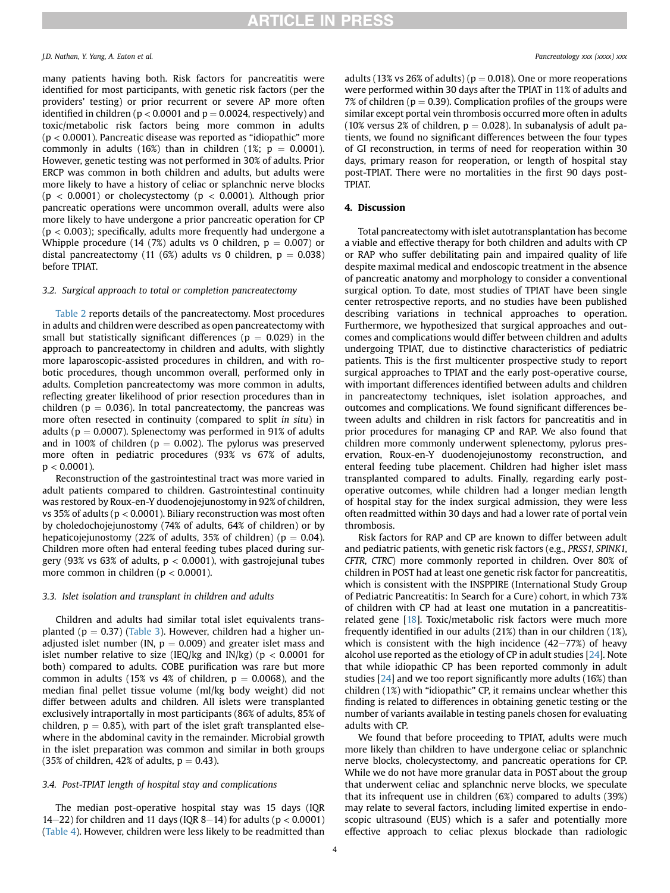many patients having both. Risk factors for pancreatitis were identified for most participants, with genetic risk factors (per the providers' testing) or prior recurrent or severe AP more often identified in children ( $p < 0.0001$  and  $p = 0.0024$ , respectively) and toxic/metabolic risk factors being more common in adults (p < 0.0001). Pancreatic disease was reported as "idiopathic" more commonly in adults (16%) than in children (1%;  $p = 0.0001$ ). However, genetic testing was not performed in 30% of adults. Prior ERCP was common in both children and adults, but adults were more likely to have a history of celiac or splanchnic nerve blocks  $(p < 0.0001)$  or cholecystectomy  $(p < 0.0001)$ . Although prior pancreatic operations were uncommon overall, adults were also more likely to have undergone a prior pancreatic operation for CP  $(p < 0.003)$ ; specifically, adults more frequently had undergone a Whipple procedure (14 (7%) adults vs 0 children,  $p = 0.007$ ) or distal pancreatectomy (11 (6%) adults vs 0 children,  $p = 0.038$ ) before TPIAT.

### 3.2. Surgical approach to total or completion pancreatectomy

[Table 2](#page-4-0) reports details of the pancreatectomy. Most procedures in adults and children were described as open pancreatectomy with small but statistically significant differences ( $p = 0.029$ ) in the approach to pancreatectomy in children and adults, with slightly more laparoscopic-assisted procedures in children, and with robotic procedures, though uncommon overall, performed only in adults. Completion pancreatectomy was more common in adults, reflecting greater likelihood of prior resection procedures than in children ( $p = 0.036$ ). In total pancreatectomy, the pancreas was more often resected in continuity (compared to split in situ) in adults ( $p = 0.0007$ ). Splenectomy was performed in 91% of adults and in 100% of children ( $p = 0.002$ ). The pylorus was preserved more often in pediatric procedures (93% vs 67% of adults,  $p < 0.0001$ ).

Reconstruction of the gastrointestinal tract was more varied in adult patients compared to children. Gastrointestinal continuity was restored by Roux-en-Y duodenojejunostomy in 92% of children, vs 35% of adults ( $p < 0.0001$ ). Biliary reconstruction was most often by choledochojejunostomy (74% of adults, 64% of children) or by hepaticojejunostomy (22% of adults, 35% of children) ( $p = 0.04$ ). Children more often had enteral feeding tubes placed during surgery (93% vs 63% of adults,  $p < 0.0001$ ), with gastrojejunal tubes more common in children ( $p < 0.0001$ ).

### 3.3. Islet isolation and transplant in children and adults

Children and adults had similar total islet equivalents transplanted ( $p = 0.37$ ) ([Table 3](#page-4-1)). However, children had a higher unadjusted islet number (IN,  $p = 0.009$ ) and greater islet mass and islet number relative to size (IEQ/kg and IN/kg) ( $p < 0.0001$  for both) compared to adults. COBE purification was rare but more common in adults (15% vs 4% of children,  $p = 0.0068$ ), and the median final pellet tissue volume (ml/kg body weight) did not differ between adults and children. All islets were transplanted exclusively intraportally in most participants (86% of adults, 85% of children,  $p = 0.85$ ), with part of the islet graft transplanted elsewhere in the abdominal cavity in the remainder. Microbial growth in the islet preparation was common and similar in both groups (35% of children, 42% of adults,  $p = 0.43$ ).

## 3.4. Post-TPIAT length of hospital stay and complications

The median post-operative hospital stay was 15 days (IQR 14–22) for children and 11 days (IQR 8–14) for adults ( $p < 0.0001$ ) ([Table 4\)](#page-5-0). However, children were less likely to be readmitted than adults (13% vs 26% of adults) ( $p = 0.018$ ). One or more reoperations were performed within 30 days after the TPIAT in 11% of adults and 7% of children ( $p = 0.39$ ). Complication profiles of the groups were similar except portal vein thrombosis occurred more often in adults (10% versus 2% of children,  $p = 0.028$ ). In subanalysis of adult patients, we found no significant differences between the four types of GI reconstruction, in terms of need for reoperation within 30 days, primary reason for reoperation, or length of hospital stay post-TPIAT. There were no mortalities in the first 90 days post-TPIAT.

#### 4. Discussion

Total pancreatectomy with islet autotransplantation has become a viable and effective therapy for both children and adults with CP or RAP who suffer debilitating pain and impaired quality of life despite maximal medical and endoscopic treatment in the absence of pancreatic anatomy and morphology to consider a conventional surgical option. To date, most studies of TPIAT have been single center retrospective reports, and no studies have been published describing variations in technical approaches to operation. Furthermore, we hypothesized that surgical approaches and outcomes and complications would differ between children and adults undergoing TPIAT, due to distinctive characteristics of pediatric patients. This is the first multicenter prospective study to report surgical approaches to TPIAT and the early post-operative course, with important differences identified between adults and children in pancreatectomy techniques, islet isolation approaches, and outcomes and complications. We found significant differences between adults and children in risk factors for pancreatitis and in prior procedures for managing CP and RAP. We also found that children more commonly underwent splenectomy, pylorus preservation, Roux-en-Y duodenojejunostomy reconstruction, and enteral feeding tube placement. Children had higher islet mass transplanted compared to adults. Finally, regarding early postoperative outcomes, while children had a longer median length of hospital stay for the index surgical admission, they were less often readmitted within 30 days and had a lower rate of portal vein thrombosis.

Risk factors for RAP and CP are known to differ between adult and pediatric patients, with genetic risk factors (e.g., PRSS1, SPINK1, CFTR, CTRC) more commonly reported in children. Over 80% of children in POST had at least one genetic risk factor for pancreatitis, which is consistent with the INSPPIRE (International Study Group of Pediatric Pancreatitis: In Search for a Cure) cohort, in which 73% of children with CP had at least one mutation in a pancreatitisrelated gene [[18\]](#page-7-11). Toxic/metabolic risk factors were much more frequently identified in our adults (21%) than in our children (1%), which is consistent with the high incidence  $(42-77%)$  of heavy alcohol use reported as the etiology of CP in adult studies [[24](#page-7-13)]. Note that while idiopathic CP has been reported commonly in adult studies [[24\]](#page-7-13) and we too report significantly more adults (16%) than children (1%) with "idiopathic" CP, it remains unclear whether this finding is related to differences in obtaining genetic testing or the number of variants available in testing panels chosen for evaluating adults with CP.

We found that before proceeding to TPIAT, adults were much more likely than children to have undergone celiac or splanchnic nerve blocks, cholecystectomy, and pancreatic operations for CP. While we do not have more granular data in POST about the group that underwent celiac and splanchnic nerve blocks, we speculate that its infrequent use in children (6%) compared to adults (39%) may relate to several factors, including limited expertise in endoscopic ultrasound (EUS) which is a safer and potentially more effective approach to celiac plexus blockade than radiologic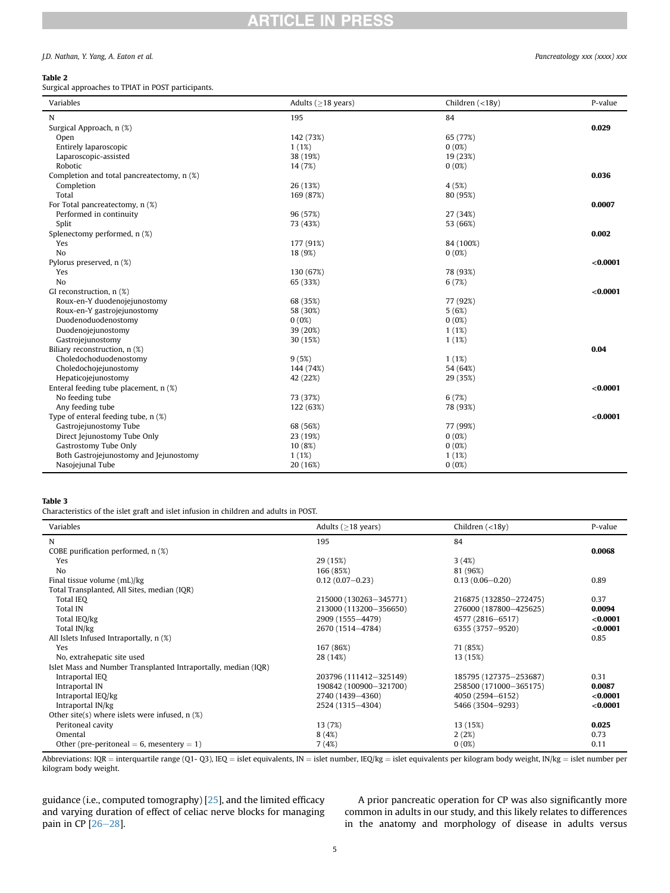# **ARTICLE IN PRESS**

## J.D. Nathan, Y. Yang, A. Eaton et al. Pancreatology xxx (xxxx) xxx

## <span id="page-4-0"></span>Table 2

Surgical approaches to TPIAT in POST participants.

| Variables                                  | Adults ( $\geq$ 18 years) | Children $(<18y)$ | P-value  |
|--------------------------------------------|---------------------------|-------------------|----------|
| N                                          | 195                       | 84                |          |
| Surgical Approach, n (%)                   |                           |                   | 0.029    |
| Open                                       | 142 (73%)                 | 65 (77%)          |          |
| Entirely laparoscopic                      | 1(1%)                     | $0(0\%)$          |          |
| Laparoscopic-assisted                      | 38 (19%)                  | 19 (23%)          |          |
| Robotic                                    | 14 (7%)                   | 0(0%)             |          |
| Completion and total pancreatectomy, n (%) |                           |                   | 0.036    |
| Completion                                 | 26 (13%)                  | 4(5%)             |          |
| Total                                      | 169 (87%)                 | 80 (95%)          |          |
| For Total pancreatectomy, n (%)            |                           |                   | 0.0007   |
| Performed in continuity                    | 96 (57%)                  | 27 (34%)          |          |
| Split                                      | 73 (43%)                  | 53 (66%)          |          |
| Splenectomy performed, n (%)               |                           |                   | 0.002    |
| Yes                                        | 177 (91%)                 | 84 (100%)         |          |
| N <sub>o</sub>                             | 18 (9%)                   | $0(0\%)$          |          |
| Pylorus preserved, n (%)                   |                           |                   | < 0.0001 |
| Yes                                        | 130 (67%)                 | 78 (93%)          |          |
| N <sub>o</sub>                             | 65 (33%)                  | 6(7%)             |          |
| GI reconstruction, n (%)                   |                           |                   | < 0.0001 |
| Roux-en-Y duodenojejunostomy               | 68 (35%)                  | 77 (92%)          |          |
| Roux-en-Y gastrojejunostomy                | 58 (30%)                  | 5(6%)             |          |
| Duodenoduodenostomy                        | 0(0%)                     | 0(0%)             |          |
| Duodenojejunostomy                         | 39 (20%)                  | 1(1%)             |          |
| Gastrojejunostomy                          | 30 (15%)                  | 1(1%)             |          |
| Biliary reconstruction, n (%)              |                           |                   | 0.04     |
| Choledochoduodenostomy                     | 9(5%)                     | 1(1%)             |          |
| Choledochojejunostomy                      | 144 (74%)                 | 54 (64%)          |          |
| Hepaticojejunostomy                        | 42 (22%)                  | 29 (35%)          |          |
| Enteral feeding tube placement, n (%)      |                           |                   | < 0.0001 |
| No feeding tube                            | 73 (37%)                  | 6(7%)             |          |
| Any feeding tube                           | 122 (63%)                 | 78 (93%)          |          |
| Type of enteral feeding tube, $n$ (%)      |                           |                   | < 0.0001 |
| Gastrojejunostomy Tube                     | 68 (56%)                  | 77 (99%)          |          |
| Direct Jejunostomy Tube Only               | 23 (19%)                  | 0(0%)             |          |
| Gastrostomy Tube Only                      | 10(8%)                    | 0(0%)             |          |
| Both Gastrojejunostomy and Jejunostomy     | 1(1%)                     | 1(1%)             |          |
| Nasojejunal Tube                           | 20 (16%)                  | $0(0\%)$          |          |

#### <span id="page-4-1"></span>Table 3

Characteristics of the islet graft and islet infusion in children and adults in POST.

| Variables                                                      | Adults ( $\geq$ 18 years) | Children $(<18y)$      | P-value  |
|----------------------------------------------------------------|---------------------------|------------------------|----------|
| N                                                              | 195                       | 84                     |          |
| COBE purification performed, n (%)                             |                           |                        | 0.0068   |
| Yes                                                            | 29 (15%)                  | 3(4%)                  |          |
| N <sub>0</sub>                                                 | 166 (85%)                 | 81 (96%)               |          |
| Final tissue volume (mL)/kg                                    | $0.12(0.07 - 0.23)$       | $0.13(0.06 - 0.20)$    | 0.89     |
| Total Transplanted, All Sites, median (IQR)                    |                           |                        |          |
| Total IEO                                                      | 215000 (130263-345771)    | 216875 (132850-272475) | 0.37     |
| Total IN                                                       | 213000 (113200-356650)    | 276000 (187800-425625) | 0.0094   |
| Total IEQ/kg                                                   | 2909 (1555-4479)          | 4577 (2816-6517)       | < 0.0001 |
| Total IN/kg                                                    | 2670 (1514-4784)          | 6355 (3757-9520)       | < 0.0001 |
| All Islets Infused Intraportally, n (%)                        |                           |                        | 0.85     |
| Yes                                                            | 167 (86%)                 | 71 (85%)               |          |
| No, extrahepatic site used                                     | 28 (14%)                  | 13 (15%)               |          |
| Islet Mass and Number Transplanted Intraportally, median (IQR) |                           |                        |          |
| Intraportal IEQ                                                | 203796 (111412-325149)    | 185795 (127375-253687) | 0.31     |
| Intraportal IN                                                 | 190842 (100900-321700)    | 258500 (171000-365175) | 0.0087   |
| Intraportal IEQ/kg                                             | 2740 (1439-4360)          | 4050 (2594-6152)       | < 0.0001 |
| Intraportal IN/kg                                              | 2524 (1315-4304)          | 5466 (3504-9293)       | < 0.0001 |
| Other site(s) where islets were infused, $n$ (%)               |                           |                        |          |
| Peritoneal cavity                                              | 13 (7%)                   | 13 (15%)               | 0.025    |
| Omental                                                        | 8(4%)                     | 2(2%)                  | 0.73     |
| Other (pre-peritoneal = 6, mesentery = 1)                      | 7(4%)                     | $0(0\%)$               | 0.11     |

Abbreviations: IQR = interquartile range (Q1- Q3), IEQ = islet equivalents, IN = islet number, IEQ/kg = islet equivalents per kilogram body weight, IN/kg = islet number per kilogram body weight.

guidance (i.e., computed tomography) [[25](#page-7-14)], and the limited efficacy and varying duration of effect of celiac nerve blocks for managing pain in CP  $[26-28]$  $[26-28]$  $[26-28]$  $[26-28]$ .

A prior pancreatic operation for CP was also significantly more common in adults in our study, and this likely relates to differences in the anatomy and morphology of disease in adults versus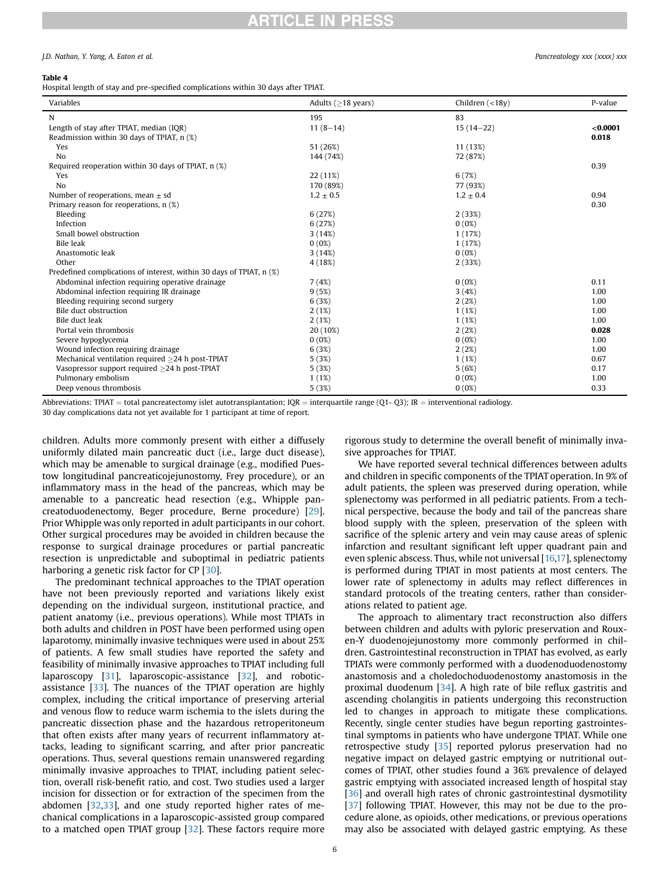# **RTICLE IN PRESS**

#### J.D. Nathan, Y. Yang, A. Eaton et al. Pancreatology xxx (xxxx) xxx

#### <span id="page-5-0"></span>Table 4

Hospital length of stay and pre-specified complications within 30 days after TPIAT.

| Variables                                                            | Adults $($ >18 years) | Children $(<18v)$ | P-value  |
|----------------------------------------------------------------------|-----------------------|-------------------|----------|
| N                                                                    | 195                   | 83                |          |
| Length of stay after TPIAT, median (IQR)                             | $11(8-14)$            | $15(14-22)$       | < 0.0001 |
| Readmission within 30 days of TPIAT, n (%)                           |                       |                   | 0.018    |
| Yes                                                                  | 51 (26%)              | 11 (13%)          |          |
| N <sub>0</sub>                                                       | 144 (74%)             | 72 (87%)          |          |
| Required reoperation within 30 days of TPIAT, n (%)                  |                       |                   | 0.39     |
| Yes                                                                  | 22 (11%)              | 6(7%)             |          |
| N <sub>o</sub>                                                       | 170 (89%)             | 77 (93%)          |          |
| Number of reoperations, mean $\pm$ sd                                | $1.2 \pm 0.5$         | $1.2 \pm 0.4$     | 0.94     |
| Primary reason for reoperations, n (%)                               |                       |                   | 0.30     |
| Bleeding                                                             | 6(27%)                | 2(33%)            |          |
| Infection                                                            | 6(27%)                | 0(0%)             |          |
| Small bowel obstruction                                              | 3(14%)                | 1(17%)            |          |
| Bile leak                                                            | $0(0\%)$              | 1(17%)            |          |
| Anastomotic leak                                                     | 3(14%)                | 0(0%)             |          |
| Other                                                                | 4(18%)                | 2(33%)            |          |
| Predefined complications of interest, within 30 days of TPIAT, n (%) |                       |                   |          |
| Abdominal infection requiring operative drainage                     | 7(4%)                 | $0(0\%)$          | 0.11     |
| Abdominal infection requiring IR drainage                            | 9(5%)                 | 3(4%)             | 1.00     |
| Bleeding requiring second surgery                                    | 6(3%)                 | 2(2%)             | 1.00     |
| Bile duct obstruction                                                | 2(1%)                 | 1(1%)             | 1.00     |
| Bile duct leak                                                       | 2(1%)                 | 1(1%)             | 1.00     |
| Portal vein thrombosis                                               | 20 (10%)              | 2(2%)             | 0.028    |
| Severe hypoglycemia                                                  | 0(0%)                 | 0(0%)             | 1.00     |
| Wound infection requiring drainage                                   | 6(3%)                 | 2(2%)             | 1.00     |
| Mechanical ventilation required >24 h post-TPIAT                     | 5(3%)                 | 1(1%)             | 0.67     |
| Vasopressor support required $\geq$ 24 h post-TPIAT                  | 5(3%)                 | 5(6%)             | 0.17     |
| Pulmonary embolism                                                   | 1(1%)                 | 0(0%)             | 1.00     |
| Deep venous thrombosis                                               | 5(3%)                 | 0(0%)             | 0.33     |

Abbreviations: TPIAT = total pancreatectomy islet autotransplantation; IQR = interquartile range (Q1- Q3); IR = interventional radiology.

30 day complications data not yet available for 1 participant at time of report.

children. Adults more commonly present with either a diffusely uniformly dilated main pancreatic duct (i.e., large duct disease), which may be amenable to surgical drainage (e.g., modified Puestow longitudinal pancreaticojejunostomy, Frey procedure), or an inflammatory mass in the head of the pancreas, which may be amenable to a pancreatic head resection (e.g., Whipple pancreatoduodenectomy, Beger procedure, Berne procedure) [\[29\]](#page-7-16). Prior Whipple was only reported in adult participants in our cohort. Other surgical procedures may be avoided in children because the response to surgical drainage procedures or partial pancreatic resection is unpredictable and suboptimal in pediatric patients harboring a genetic risk factor for CP [[30](#page-7-17)].

The predominant technical approaches to the TPIAT operation have not been previously reported and variations likely exist depending on the individual surgeon, institutional practice, and patient anatomy (i.e., previous operations). While most TPIATs in both adults and children in POST have been performed using open laparotomy, minimally invasive techniques were used in about 25% of patients. A few small studies have reported the safety and feasibility of minimally invasive approaches to TPIAT including full laparoscopy [\[31\]](#page-7-18), laparoscopic-assistance [[32](#page-7-19)], and roboticassistance [[33](#page-7-20)]. The nuances of the TPIAT operation are highly complex, including the critical importance of preserving arterial and venous flow to reduce warm ischemia to the islets during the pancreatic dissection phase and the hazardous retroperitoneum that often exists after many years of recurrent inflammatory attacks, leading to significant scarring, and after prior pancreatic operations. Thus, several questions remain unanswered regarding minimally invasive approaches to TPIAT, including patient selection, overall risk-benefit ratio, and cost. Two studies used a larger incision for dissection or for extraction of the specimen from the abdomen [\[32,](#page-7-19)[33](#page-7-20)], and one study reported higher rates of mechanical complications in a laparoscopic-assisted group compared to a matched open TPIAT group [\[32](#page-7-19)]. These factors require more rigorous study to determine the overall benefit of minimally invasive approaches for TPIAT.

We have reported several technical differences between adults and children in specific components of the TPIAT operation. In 9% of adult patients, the spleen was preserved during operation, while splenectomy was performed in all pediatric patients. From a technical perspective, because the body and tail of the pancreas share blood supply with the spleen, preservation of the spleen with sacrifice of the splenic artery and vein may cause areas of splenic infarction and resultant significant left upper quadrant pain and even splenic abscess. Thus, while not universal [\[16](#page-7-9)[,17](#page-7-10)], splenectomy is performed during TPIAT in most patients at most centers. The lower rate of splenectomy in adults may reflect differences in standard protocols of the treating centers, rather than considerations related to patient age.

The approach to alimentary tract reconstruction also differs between children and adults with pyloric preservation and Rouxen-Y duodenojejunostomy more commonly performed in children. Gastrointestinal reconstruction in TPIAT has evolved, as early TPIATs were commonly performed with a duodenoduodenostomy anastomosis and a choledochoduodenostomy anastomosis in the proximal duodenum [\[34\]](#page-7-21). A high rate of bile reflux gastritis and ascending cholangitis in patients undergoing this reconstruction led to changes in approach to mitigate these complications. Recently, single center studies have begun reporting gastrointestinal symptoms in patients who have undergone TPIAT. While one retrospective study [\[35\]](#page-7-22) reported pylorus preservation had no negative impact on delayed gastric emptying or nutritional outcomes of TPIAT, other studies found a 36% prevalence of delayed gastric emptying with associated increased length of hospital stay [[36](#page-7-23)] and overall high rates of chronic gastrointestinal dysmotility [[37\]](#page-7-24) following TPIAT. However, this may not be due to the procedure alone, as opioids, other medications, or previous operations may also be associated with delayed gastric emptying. As these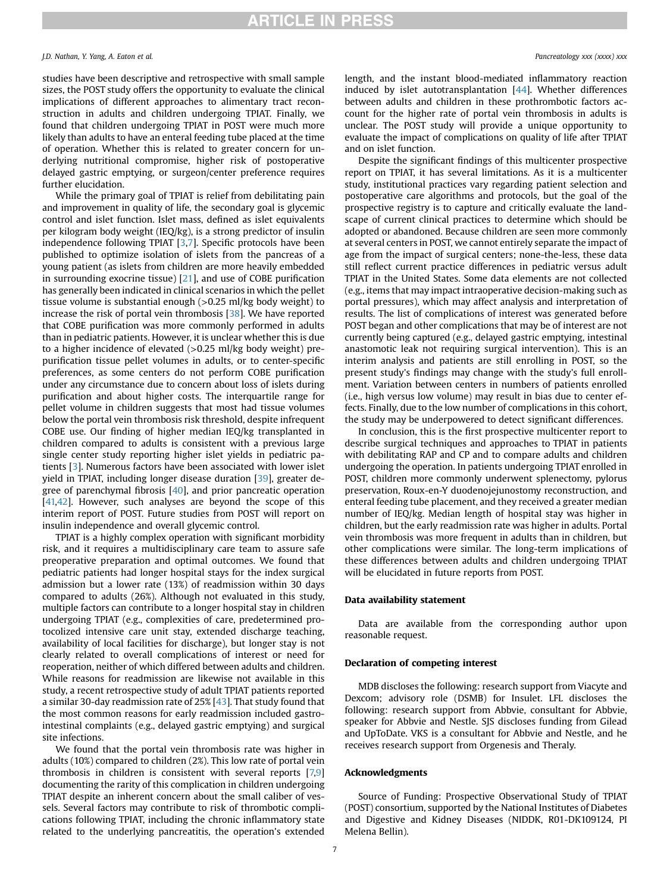studies have been descriptive and retrospective with small sample sizes, the POST study offers the opportunity to evaluate the clinical implications of different approaches to alimentary tract reconstruction in adults and children undergoing TPIAT. Finally, we found that children undergoing TPIAT in POST were much more likely than adults to have an enteral feeding tube placed at the time of operation. Whether this is related to greater concern for underlying nutritional compromise, higher risk of postoperative delayed gastric emptying, or surgeon/center preference requires further elucidation.

While the primary goal of TPIAT is relief from debilitating pain and improvement in quality of life, the secondary goal is glycemic control and islet function. Islet mass, defined as islet equivalents per kilogram body weight (IEQ/kg), is a strong predictor of insulin independence following TPIAT [\[3,](#page-7-2)[7\]](#page-7-3). Specific protocols have been published to optimize isolation of islets from the pancreas of a young patient (as islets from children are more heavily embedded in surrounding exocrine tissue) [\[21\]](#page-7-25), and use of COBE purification has generally been indicated in clinical scenarios in which the pellet tissue volume is substantial enough (>0.25 ml/kg body weight) to increase the risk of portal vein thrombosis [[38](#page-7-26)]. We have reported that COBE purification was more commonly performed in adults than in pediatric patients. However, it is unclear whether this is due to a higher incidence of elevated (>0.25 ml/kg body weight) prepurification tissue pellet volumes in adults, or to center-specific preferences, as some centers do not perform COBE purification under any circumstance due to concern about loss of islets during purification and about higher costs. The interquartile range for pellet volume in children suggests that most had tissue volumes below the portal vein thrombosis risk threshold, despite infrequent COBE use. Our finding of higher median IEQ/kg transplanted in children compared to adults is consistent with a previous large single center study reporting higher islet yields in pediatric patients [\[3](#page-7-2)]. Numerous factors have been associated with lower islet yield in TPIAT, including longer disease duration [\[39\]](#page-7-27), greater degree of parenchymal fibrosis [\[40\]](#page-7-28), and prior pancreatic operation [[41,](#page-7-29)[42](#page-7-30)]. However, such analyses are beyond the scope of this interim report of POST. Future studies from POST will report on insulin independence and overall glycemic control.

TPIAT is a highly complex operation with significant morbidity risk, and it requires a multidisciplinary care team to assure safe preoperative preparation and optimal outcomes. We found that pediatric patients had longer hospital stays for the index surgical admission but a lower rate (13%) of readmission within 30 days compared to adults (26%). Although not evaluated in this study, multiple factors can contribute to a longer hospital stay in children undergoing TPIAT (e.g., complexities of care, predetermined protocolized intensive care unit stay, extended discharge teaching, availability of local facilities for discharge), but longer stay is not clearly related to overall complications of interest or need for reoperation, neither of which differed between adults and children. While reasons for readmission are likewise not available in this study, a recent retrospective study of adult TPIAT patients reported a similar 30-day readmission rate of 25% [\[43\]](#page-7-31). That study found that the most common reasons for early readmission included gastrointestinal complaints (e.g., delayed gastric emptying) and surgical site infections.

We found that the portal vein thrombosis rate was higher in adults (10%) compared to children (2%). This low rate of portal vein thrombosis in children is consistent with several reports [\[7,](#page-7-3)[9\]](#page-7-8) documenting the rarity of this complication in children undergoing TPIAT despite an inherent concern about the small caliber of vessels. Several factors may contribute to risk of thrombotic complications following TPIAT, including the chronic inflammatory state related to the underlying pancreatitis, the operation's extended

length, and the instant blood-mediated inflammatory reaction induced by islet autotransplantation [[44](#page-7-32)]. Whether differences between adults and children in these prothrombotic factors account for the higher rate of portal vein thrombosis in adults is unclear. The POST study will provide a unique opportunity to evaluate the impact of complications on quality of life after TPIAT and on islet function.

Despite the significant findings of this multicenter prospective report on TPIAT, it has several limitations. As it is a multicenter study, institutional practices vary regarding patient selection and postoperative care algorithms and protocols, but the goal of the prospective registry is to capture and critically evaluate the landscape of current clinical practices to determine which should be adopted or abandoned. Because children are seen more commonly at several centers in POST, we cannot entirely separate the impact of age from the impact of surgical centers; none-the-less, these data still reflect current practice differences in pediatric versus adult TPIAT in the United States. Some data elements are not collected (e.g., items that may impact intraoperative decision-making such as portal pressures), which may affect analysis and interpretation of results. The list of complications of interest was generated before POST began and other complications that may be of interest are not currently being captured (e.g., delayed gastric emptying, intestinal anastomotic leak not requiring surgical intervention). This is an interim analysis and patients are still enrolling in POST, so the present study's findings may change with the study's full enrollment. Variation between centers in numbers of patients enrolled (i.e., high versus low volume) may result in bias due to center effects. Finally, due to the low number of complications in this cohort, the study may be underpowered to detect significant differences.

In conclusion, this is the first prospective multicenter report to describe surgical techniques and approaches to TPIAT in patients with debilitating RAP and CP and to compare adults and children undergoing the operation. In patients undergoing TPIAT enrolled in POST, children more commonly underwent splenectomy, pylorus preservation, Roux-en-Y duodenojejunostomy reconstruction, and enteral feeding tube placement, and they received a greater median number of IEQ/kg. Median length of hospital stay was higher in children, but the early readmission rate was higher in adults. Portal vein thrombosis was more frequent in adults than in children, but other complications were similar. The long-term implications of these differences between adults and children undergoing TPIAT will be elucidated in future reports from POST.

## Data availability statement

Data are available from the corresponding author upon reasonable request.

## Declaration of competing interest

MDB discloses the following: research support from Viacyte and Dexcom; advisory role (DSMB) for Insulet. LFL discloses the following: research support from Abbvie, consultant for Abbvie, speaker for Abbvie and Nestle. SJS discloses funding from Gilead and UpToDate. VKS is a consultant for Abbvie and Nestle, and he receives research support from Orgenesis and Theraly.

### Acknowledgments

Source of Funding: Prospective Observational Study of TPIAT (POST) consortium, supported by the National Institutes of Diabetes and Digestive and Kidney Diseases (NIDDK, R01-DK109124, PI Melena Bellin).